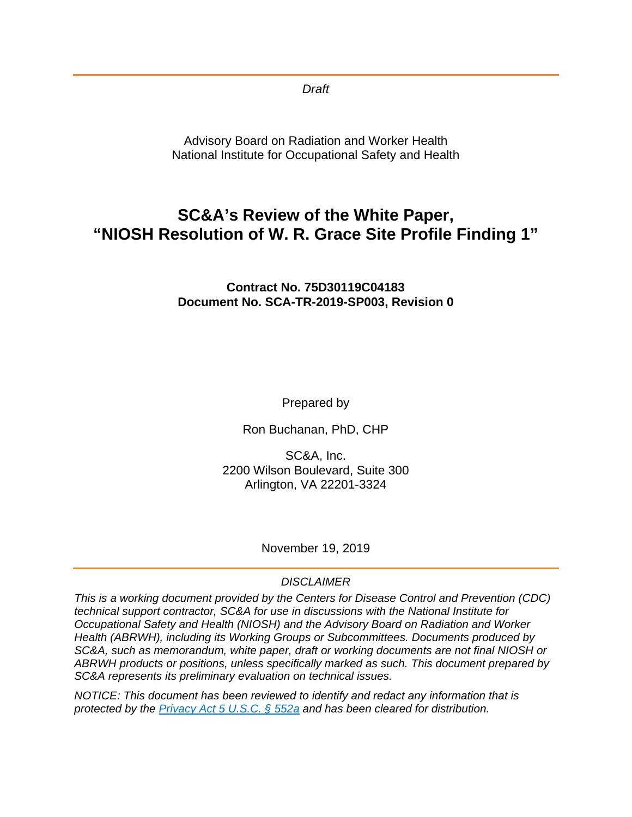*Draft*

Advisory Board on Radiation and Worker Health National Institute for Occupational Safety and Health

# **SC&A's Review of the White Paper, "NIOSH Resolution of W. R. Grace Site Profile Finding 1"**

#### **Contract No. 75D30119C04183 Document No. SCA-TR-2019-SP003, Revision 0**

Prepared by

Ron Buchanan, PhD, CHP

SC&A, Inc. 2200 Wilson Boulevard, Suite 300 Arlington, VA 22201-3324

November 19, 2019

#### *DISCLAIMER*

*This is a working document provided by the Centers for Disease Control and Prevention (CDC) technical support contractor, SC&A for use in discussions with the National Institute for Occupational Safety and Health (NIOSH) and the Advisory Board on Radiation and Worker Health (ABRWH), including its Working Groups or Subcommittees. Documents produced by SC&A, such as memorandum, white paper, draft or working documents are not final NIOSH or ABRWH products or positions, unless specifically marked as such. This document prepared by SC&A represents its preliminary evaluation on technical issues.*

*NOTICE: This document has been reviewed to identify and redact any information that is protected by the [Privacy Act 5 U.S.C. § 552a](http://www.justice.gov/opcl/privacy-act-1974) and has been cleared for distribution.*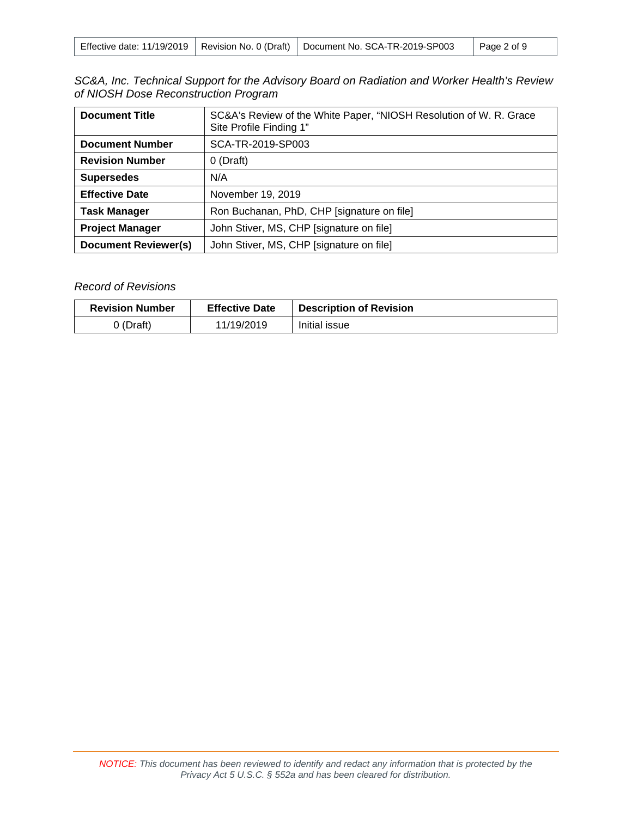|  |  | Effective date: 11/19/2019   Revision No. 0 (Draft)   Document No. SCA-TR-2019-SP003 | Page 2 of 9 |
|--|--|--------------------------------------------------------------------------------------|-------------|
|--|--|--------------------------------------------------------------------------------------|-------------|

|  | SC&A, Inc. Technical Support for the Advisory Board on Radiation and Worker Health's Review |  |  |  |  |
|--|---------------------------------------------------------------------------------------------|--|--|--|--|
|  | of NIOSH Dose Reconstruction Program                                                        |  |  |  |  |

| <b>Document Title</b>       | SC&A's Review of the White Paper, "NIOSH Resolution of W. R. Grace<br>Site Profile Finding 1" |  |  |
|-----------------------------|-----------------------------------------------------------------------------------------------|--|--|
| <b>Document Number</b>      | SCA-TR-2019-SP003                                                                             |  |  |
| <b>Revision Number</b>      | $0$ (Draft)                                                                                   |  |  |
| <b>Supersedes</b>           | N/A                                                                                           |  |  |
| <b>Effective Date</b>       | November 19, 2019                                                                             |  |  |
| <b>Task Manager</b>         | Ron Buchanan, PhD, CHP [signature on file]                                                    |  |  |
| <b>Project Manager</b>      | John Stiver, MS, CHP [signature on file]                                                      |  |  |
| <b>Document Reviewer(s)</b> | John Stiver, MS, CHP [signature on file]                                                      |  |  |

#### *Record of Revisions*

| <b>Revision Number</b><br><b>Effective Date</b> |            | <b>Description of Revision</b> |
|-------------------------------------------------|------------|--------------------------------|
| 0 (Draft)                                       | 11/19/2019 | Initial issue                  |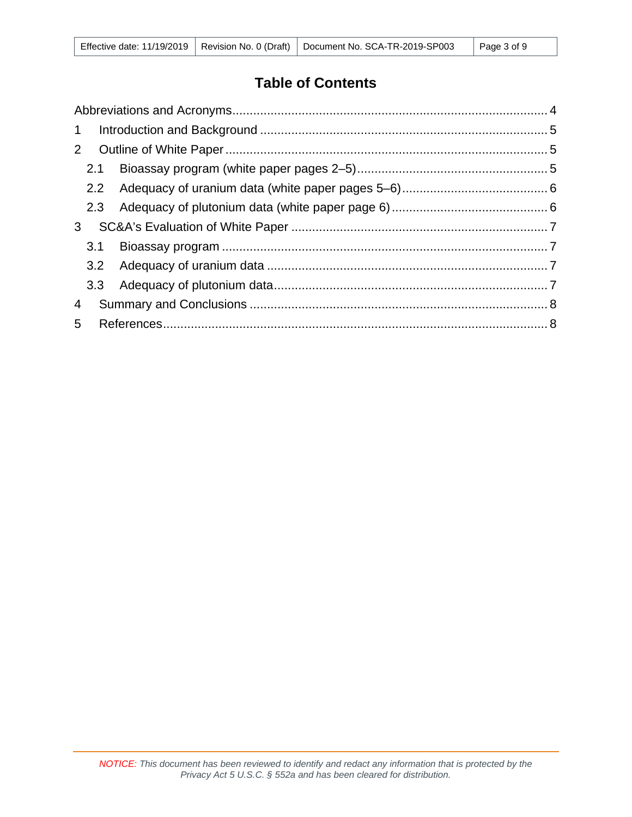# **Table of Contents**

| $\mathbf{1}$ |     |  |  |  |  |
|--------------|-----|--|--|--|--|
| 2            |     |  |  |  |  |
|              | 2.1 |  |  |  |  |
|              | 2.2 |  |  |  |  |
|              | 2.3 |  |  |  |  |
| $\mathbf{3}$ |     |  |  |  |  |
|              | 3.1 |  |  |  |  |
|              |     |  |  |  |  |
|              |     |  |  |  |  |
| 4            |     |  |  |  |  |
| 5            |     |  |  |  |  |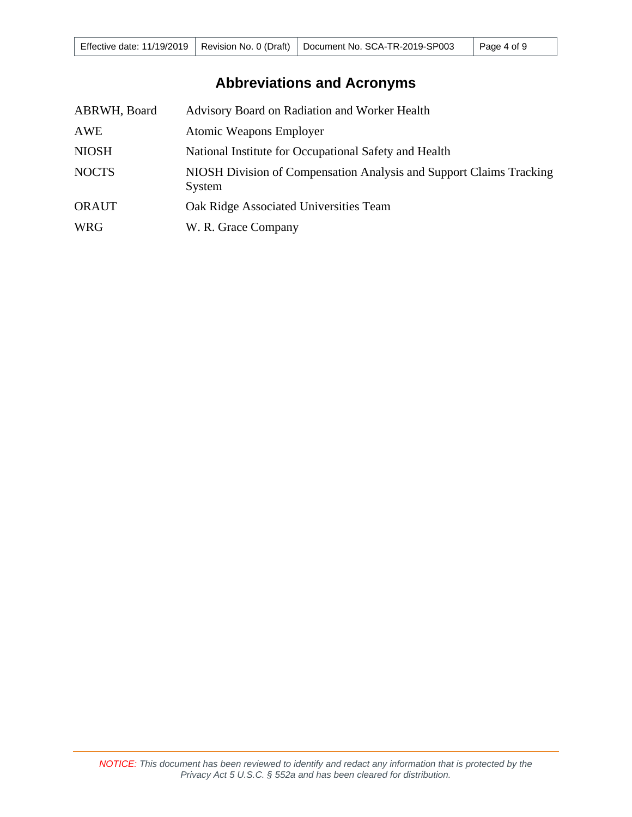# **Abbreviations and Acronyms**

<span id="page-3-0"></span>

| ABRWH, Board | Advisory Board on Radiation and Worker Health                                 |
|--------------|-------------------------------------------------------------------------------|
| AWE          | <b>Atomic Weapons Employer</b>                                                |
| <b>NIOSH</b> | National Institute for Occupational Safety and Health                         |
| <b>NOCTS</b> | NIOSH Division of Compensation Analysis and Support Claims Tracking<br>System |
| <b>ORAUT</b> | Oak Ridge Associated Universities Team                                        |
| <b>WRG</b>   | W. R. Grace Company                                                           |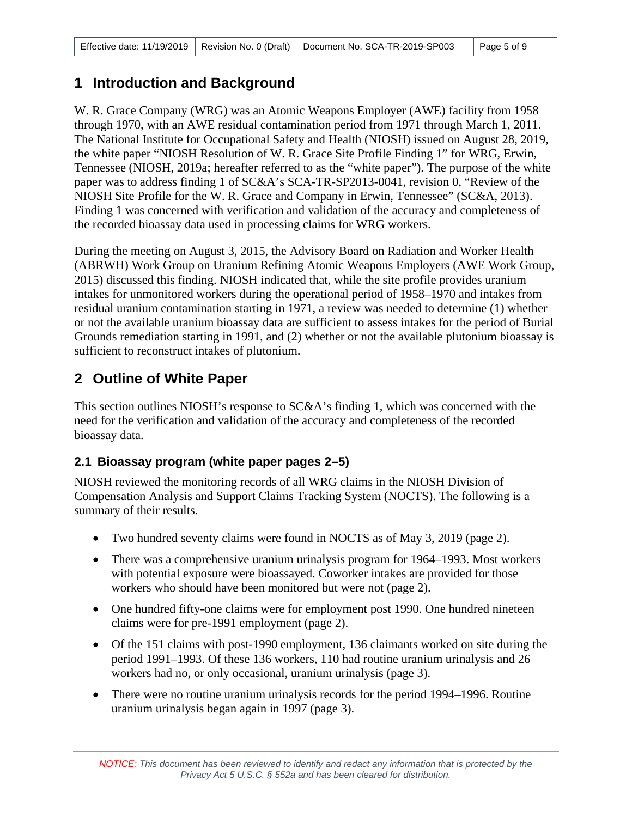### <span id="page-4-0"></span>**1 Introduction and Background**

W. R. Grace Company (WRG) was an Atomic Weapons Employer (AWE) facility from 1958 through 1970, with an AWE residual contamination period from 1971 through March 1, 2011. The National Institute for Occupational Safety and Health (NIOSH) issued on August 28, 2019, the white paper "NIOSH Resolution of W. R. Grace Site Profile Finding 1" for WRG, Erwin, Tennessee (NIOSH, 2019a; hereafter referred to as the "white paper"). The purpose of the white paper was to address finding 1 of SC&A's SCA-TR-SP2013-0041, revision 0, "Review of the NIOSH Site Profile for the W. R. Grace and Company in Erwin, Tennessee" (SC&A, 2013). Finding 1 was concerned with verification and validation of the accuracy and completeness of the recorded bioassay data used in processing claims for WRG workers.

During the meeting on August 3, 2015, the Advisory Board on Radiation and Worker Health (ABRWH) Work Group on Uranium Refining Atomic Weapons Employers (AWE Work Group, 2015) discussed this finding. NIOSH indicated that, while the site profile provides uranium intakes for unmonitored workers during the operational period of 1958–1970 and intakes from residual uranium contamination starting in 1971, a review was needed to determine (1) whether or not the available uranium bioassay data are sufficient to assess intakes for the period of Burial Grounds remediation starting in 1991, and (2) whether or not the available plutonium bioassay is sufficient to reconstruct intakes of plutonium.

## <span id="page-4-1"></span>**2 Outline of White Paper**

This section outlines NIOSH's response to SC&A's finding 1, which was concerned with the need for the verification and validation of the accuracy and completeness of the recorded bioassay data.

### <span id="page-4-2"></span>**2.1 Bioassay program (white paper pages 2–5)**

NIOSH reviewed the monitoring records of all WRG claims in the NIOSH Division of Compensation Analysis and Support Claims Tracking System (NOCTS). The following is a summary of their results.

- Two hundred seventy claims were found in NOCTS as of May 3, 2019 (page 2).
- There was a comprehensive uranium urinalysis program for 1964–1993. Most workers with potential exposure were bioassayed. Coworker intakes are provided for those workers who should have been monitored but were not (page 2).
- One hundred fifty-one claims were for employment post 1990. One hundred nineteen claims were for pre-1991 employment (page 2).
- Of the 151 claims with post-1990 employment, 136 claimants worked on site during the period 1991–1993. Of these 136 workers, 110 had routine uranium urinalysis and 26 workers had no, or only occasional, uranium urinalysis (page 3).
- There were no routine uranium urinalysis records for the period 1994–1996. Routine uranium urinalysis began again in 1997 (page 3).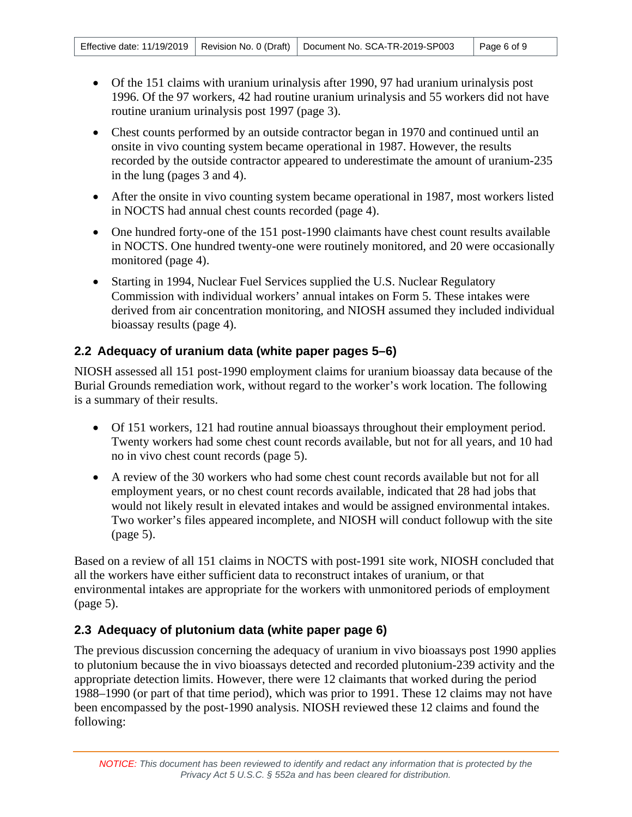- Of the 151 claims with uranium urinalysis after 1990, 97 had uranium urinalysis post 1996. Of the 97 workers, 42 had routine uranium urinalysis and 55 workers did not have routine uranium urinalysis post 1997 (page 3).
- Chest counts performed by an outside contractor began in 1970 and continued until an onsite in vivo counting system became operational in 1987. However, the results recorded by the outside contractor appeared to underestimate the amount of uranium-235 in the lung (pages 3 and 4).
- After the onsite in vivo counting system became operational in 1987, most workers listed in NOCTS had annual chest counts recorded (page 4).
- One hundred forty-one of the 151 post-1990 claimants have chest count results available in NOCTS. One hundred twenty-one were routinely monitored, and 20 were occasionally monitored (page 4).
- Starting in 1994, Nuclear Fuel Services supplied the U.S. Nuclear Regulatory Commission with individual workers' annual intakes on Form 5. These intakes were derived from air concentration monitoring, and NIOSH assumed they included individual bioassay results (page 4).

### <span id="page-5-0"></span>**2.2 Adequacy of uranium data (white paper pages 5–6)**

NIOSH assessed all 151 post-1990 employment claims for uranium bioassay data because of the Burial Grounds remediation work, without regard to the worker's work location. The following is a summary of their results.

- Of 151 workers, 121 had routine annual bioassays throughout their employment period. Twenty workers had some chest count records available, but not for all years, and 10 had no in vivo chest count records (page 5).
- A review of the 30 workers who had some chest count records available but not for all employment years, or no chest count records available, indicated that 28 had jobs that would not likely result in elevated intakes and would be assigned environmental intakes. Two worker's files appeared incomplete, and NIOSH will conduct followup with the site (page 5).

Based on a review of all 151 claims in NOCTS with post-1991 site work, NIOSH concluded that all the workers have either sufficient data to reconstruct intakes of uranium, or that environmental intakes are appropriate for the workers with unmonitored periods of employment (page 5).

### <span id="page-5-1"></span>**2.3 Adequacy of plutonium data (white paper page 6)**

The previous discussion concerning the adequacy of uranium in vivo bioassays post 1990 applies to plutonium because the in vivo bioassays detected and recorded plutonium-239 activity and the appropriate detection limits. However, there were 12 claimants that worked during the period 1988–1990 (or part of that time period), which was prior to 1991. These 12 claims may not have been encompassed by the post-1990 analysis. NIOSH reviewed these 12 claims and found the following: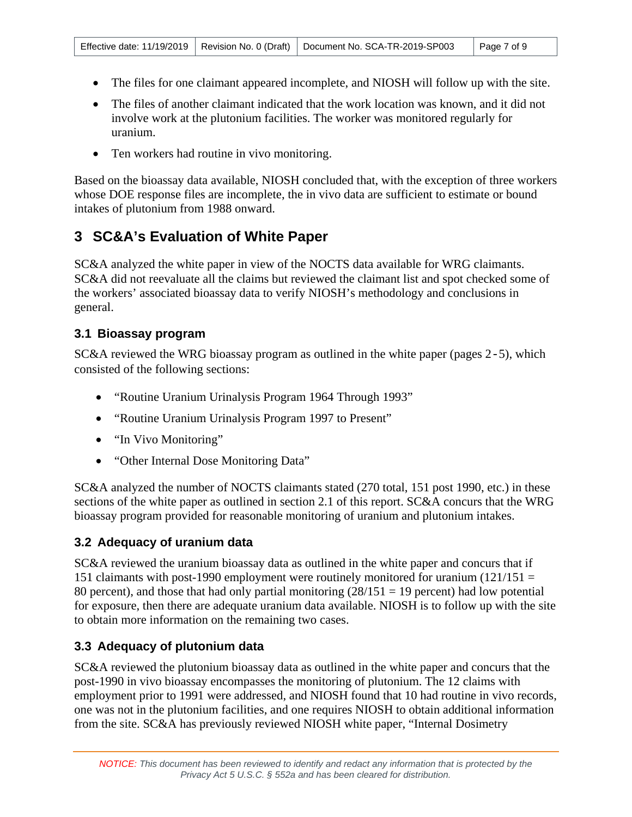- The files for one claimant appeared incomplete, and NIOSH will follow up with the site.
- The files of another claimant indicated that the work location was known, and it did not involve work at the plutonium facilities. The worker was monitored regularly for uranium.
- Ten workers had routine in vivo monitoring.

Based on the bioassay data available, NIOSH concluded that, with the exception of three workers whose DOE response files are incomplete, the in vivo data are sufficient to estimate or bound intakes of plutonium from 1988 onward.

# <span id="page-6-0"></span>**3 SC&A's Evaluation of White Paper**

SC&A analyzed the white paper in view of the NOCTS data available for WRG claimants. SC&A did not reevaluate all the claims but reviewed the claimant list and spot checked some of the workers' associated bioassay data to verify NIOSH's methodology and conclusions in general.

### <span id="page-6-1"></span>**3.1 Bioassay program**

SC&A reviewed the WRG bioassay program as outlined in the white paper (pages 2-5), which consisted of the following sections:

- "Routine Uranium Urinalysis Program 1964 Through 1993"
- "Routine Uranium Urinalysis Program 1997 to Present"
- "In Vivo Monitoring"
- "Other Internal Dose Monitoring Data"

SC&A analyzed the number of NOCTS claimants stated (270 total, 151 post 1990, etc.) in these sections of the white paper as outlined in section 2.1 of this report. SC&A concurs that the WRG bioassay program provided for reasonable monitoring of uranium and plutonium intakes.

#### <span id="page-6-2"></span>**3.2 Adequacy of uranium data**

SC&A reviewed the uranium bioassay data as outlined in the white paper and concurs that if 151 claimants with post-1990 employment were routinely monitored for uranium  $(121/151 =$ 80 percent), and those that had only partial monitoring  $(28/151 = 19$  percent) had low potential for exposure, then there are adequate uranium data available. NIOSH is to follow up with the site to obtain more information on the remaining two cases.

#### <span id="page-6-3"></span>**3.3 Adequacy of plutonium data**

SC&A reviewed the plutonium bioassay data as outlined in the white paper and concurs that the post-1990 in vivo bioassay encompasses the monitoring of plutonium. The 12 claims with employment prior to 1991 were addressed, and NIOSH found that 10 had routine in vivo records, one was not in the plutonium facilities, and one requires NIOSH to obtain additional information from the site. SC&A has previously reviewed NIOSH white paper, "Internal Dosimetry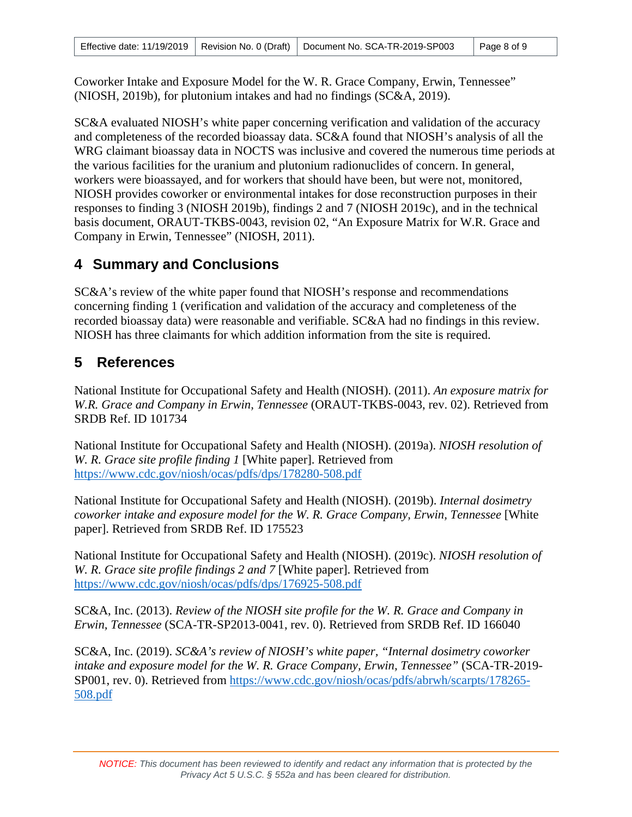Coworker Intake and Exposure Model for the W. R. Grace Company, Erwin, Tennessee" (NIOSH, 2019b), for plutonium intakes and had no findings (SC&A, 2019).

SC&A evaluated NIOSH's white paper concerning verification and validation of the accuracy and completeness of the recorded bioassay data. SC&A found that NIOSH's analysis of all the WRG claimant bioassay data in NOCTS was inclusive and covered the numerous time periods at the various facilities for the uranium and plutonium radionuclides of concern. In general, workers were bioassayed, and for workers that should have been, but were not, monitored, NIOSH provides coworker or environmental intakes for dose reconstruction purposes in their responses to finding 3 (NIOSH 2019b), findings 2 and 7 (NIOSH 2019c), and in the technical basis document, ORAUT-TKBS-0043, revision 02, "An Exposure Matrix for W.R. Grace and Company in Erwin, Tennessee" (NIOSH, 2011).

### <span id="page-7-0"></span>**4 Summary and Conclusions**

SC&A's review of the white paper found that NIOSH's response and recommendations concerning finding 1 (verification and validation of the accuracy and completeness of the recorded bioassay data) were reasonable and verifiable. SC&A had no findings in this review. NIOSH has three claimants for which addition information from the site is required.

## <span id="page-7-1"></span>**5 References**

National Institute for Occupational Safety and Health (NIOSH). (2011). *An exposure matrix for W.R. Grace and Company in Erwin, Tennessee* (ORAUT-TKBS-0043, rev. 02). Retrieved from SRDB Ref. ID 101734

National Institute for Occupational Safety and Health (NIOSH). (2019a). *NIOSH resolution of W. R. Grace site profile finding 1* [White paper]. Retrieved from <https://www.cdc.gov/niosh/ocas/pdfs/dps/178280-508.pdf>

National Institute for Occupational Safety and Health (NIOSH). (2019b). *Internal dosimetry coworker intake and exposure model for the W. R. Grace Company, Erwin, Tennessee* [White paper]. Retrieved from SRDB Ref. ID 175523

National Institute for Occupational Safety and Health (NIOSH). (2019c). *NIOSH resolution of W. R. Grace site profile findings 2 and 7* [White paper]. Retrieved from <https://www.cdc.gov/niosh/ocas/pdfs/dps/176925-508.pdf>

SC&A, Inc. (2013). *Review of the NIOSH site profile for the W. R. Grace and Company in Erwin, Tennessee* (SCA-TR-SP2013-0041, rev. 0). Retrieved from SRDB Ref. ID 166040

SC&A, Inc. (2019). *SC&A's review of NIOSH's white paper, "Internal dosimetry coworker intake and exposure model for the W. R. Grace Company, Erwin, Tennessee"* (SCA-TR-2019- SP001, rev. 0). Retrieved from [https://www.cdc.gov/niosh/ocas/pdfs/abrwh/scarpts/178265-](https://www.cdc.gov/niosh/ocas/pdfs/abrwh/scarpts/178265-508.pdf) [508.pdf](https://www.cdc.gov/niosh/ocas/pdfs/abrwh/scarpts/178265-508.pdf)